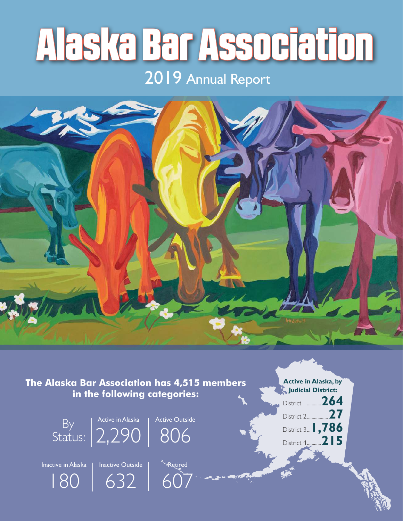# Alaska Bar Association

# 2019 Annual Report



**The Alaska Bar Association has 4,515 members in the following categories:**



**Active in Alaska, by Judicial District:**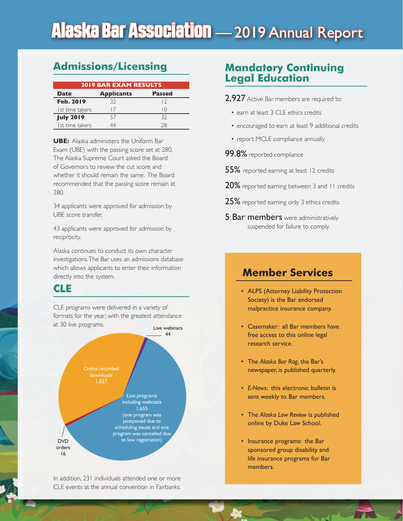# Alaska Bar Association — 2019 Annual Report

# **Admissions/Licensing**

| <b>2019 BAR EXAM RESULTS</b> |                   |               |  |  |
|------------------------------|-------------------|---------------|--|--|
| <b>Date</b>                  | <b>Applicants</b> | <b>Passed</b> |  |  |
| <b>Feb. 2019</b>             | 32                | $\sqrt{2}$    |  |  |
| I st time takers             | $\mid$ /          | IΟ            |  |  |
| <b>July 2019</b>             | 57                | 32            |  |  |
| Ist time takers              |                   | 28            |  |  |

**UBE:** Alaska administers the Uniform Bar Exam (UBE) with the passing score set at 280. The Alaska Supreme Court asked the Board of Governors to review the cut score and whether it should remain the same. The Board recommended that the passing score remain at 280.

34 applicants were approved for admission by UBE score transfer.

43 applicants were approved for admission by reciprocity.

Alaska continues to conduct its own character investigations. The Bar uses an admissions database which allows applicants to enter their information directly into the system.

## **CLE**

CLE programs were delivered in a variety of formats for the year; with the greatest attendance at 30 live programs.



In addition, 231 individuals attended one or more CLE events at the annual convention in Fairbanks.

# **Mandatory Continuing Legal Education**

- 2,927 Active Bar members are required to:
	- earn at least 3 CLE ethics credits
	- encouraged to earn at least 9 additional credits
	- report MCLE compliance annually
- 99.8% reported compliance
- 55% reported earning at least 12 credits
- 20% reported earning between 3 and 11 credits
- 25% reported earning only 3 ethics credits
- **5 Bar members** were administratively suspended for failure to comply

# **Member Services**

- ALPS (Attorney Liability Protection Society) is the Bar endorsed malpractice insurance company.
- Casemaker: all Bar members have free access to this online legal research service.
- The *Alaska Bar Rag*, the Bar's newspaper, is published quarterly.
- *E-New*s: this electronic bulletin is sent weekly to Bar members.
- The *Alaska Law Review* is published online by Duke Law School.
- Insurance programs: the Bar sponsored group disability and life insurance programs for Bar members.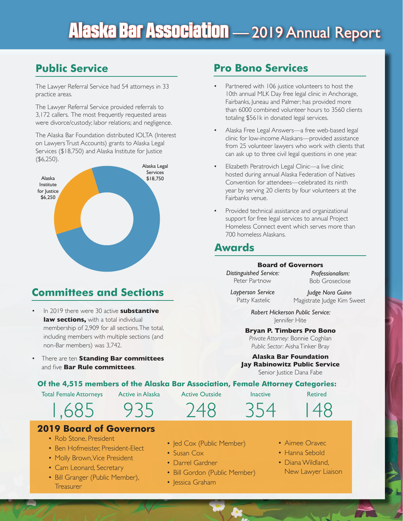# Alaska Bar Association — 2019 Annual Report

# **Public Service**

The Lawyer Referral Service had 54 attorneys in 33 practice areas.

The Lawyer Referral Service provided referrals to 3,172 callers. The most frequently requested areas were divorce/custody; labor relations; and negligence.

The Alaska Bar Foundation distributed IOLTA (Interest on Lawyers Trust Accounts) grants to Alaska Legal Services (\$18,750) and Alaska Institute for Justice (\$6,250).



# **Committees and Sections**

- In 2019 there were 30 active **substantive law sections.** with a total individual membership of 2,909 for all sections. The total, including members with multiple sections (and non-Bar members) was 3,742.
- There are ten **Standing Bar committees** and five **Bar Rule committees**.

# **Pro Bono Services**

- Partnered with 106 justice volunteers to host the 10th annual MLK Day free legal clinic in Anchorage, Fairbanks, Juneau and Palmer; has provided more than 6000 combined volunteer hours to 3560 clients totaling \$561k in donated legal services.
- Alaska Free Legal Answers—a free web-based legal clinic for low-income Alaskans—provided assistance from 25 volunteer lawyers who work with clients that can ask up to three civil legal questions in one year.
- Elizabeth Peratrovich Legal Clinic—a live clinic hosted during annual Alaska Federation of Natives Convention for attendees—celebrated its ninth year by serving 20 clients by four volunteers at the Fairbanks venue.
- Provided technical assistance and organizational support for free legal services to annual Project Homeless Connect event which serves more than 700 homeless Alaskans.

# **Awards**

#### **Board of Governors**

*Distinguished Service:*  Peter Partnow

*Professionalism:*  Bob Groseclose

*Layperson Service* Patty Kastelic

*Judge Nora Guinn* Magistrate Judge Kim Sweet

*Robert Hickerson Public Service:* Jennifer Hite

#### **Bryan P. Timbers Pro Bono**

*Private Attorney:* Bonnie Coghlan *Public Sector:* Aisha Tinker Bray

**Alaska Bar Foundation Jay Rabinowitz Public Service** Senior Justice Dana Fabe

#### **Of the 4,515 members of the Alaska Bar Association, Female Attorney Categories:**

Total Female Attorneys

1,685

Active in Alaska

Active Outside

Inactive

354

Retired

148



## **2019 Board of Governors**

- Rob Stone, President
- Ben Hofmeister, President-Elect
- Molly Brown, Vice President
- Cam Leonard, Secretary
- Bill Granger (Public Member), Treasurer
- Jed Cox (Public Member)

248

- Susan Cox
- Darrel Gardner
- Bill Gordon (Public Member)
- Jessica Graham
- Aimee Oravec
- Hanna Sebold
- Diana Wildland, New Lawyer Liaison